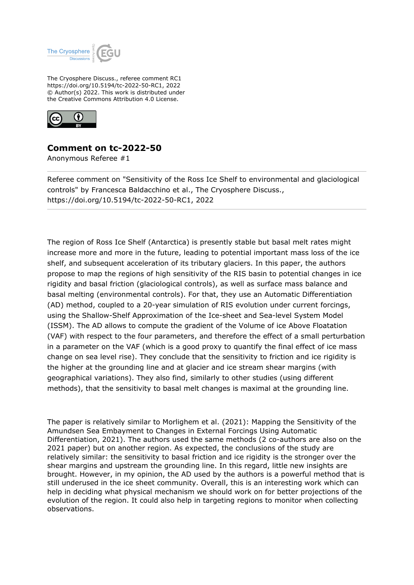

The Cryosphere Discuss., referee comment RC1 https://doi.org/10.5194/tc-2022-50-RC1, 2022 © Author(s) 2022. This work is distributed under the Creative Commons Attribution 4.0 License.



## **Comment on tc-2022-50**

Anonymous Referee #1

Referee comment on "Sensitivity of the Ross Ice Shelf to environmental and glaciological controls" by Francesca Baldacchino et al., The Cryosphere Discuss., https://doi.org/10.5194/tc-2022-50-RC1, 2022

The region of Ross Ice Shelf (Antarctica) is presently stable but basal melt rates might increase more and more in the future, leading to potential important mass loss of the ice shelf, and subsequent acceleration of its tributary glaciers. In this paper, the authors propose to map the regions of high sensitivity of the RIS basin to potential changes in ice rigidity and basal friction (glaciological controls), as well as surface mass balance and basal melting (environmental controls). For that, they use an Automatic Differentiation (AD) method, coupled to a 20-year simulation of RIS evolution under current forcings, using the Shallow-Shelf Approximation of the Ice-sheet and Sea-level System Model (ISSM). The AD allows to compute the gradient of the Volume of ice Above Floatation (VAF) with respect to the four parameters, and therefore the effect of a small perturbation in a parameter on the VAF (which is a good proxy to quantify the final effect of ice mass change on sea level rise). They conclude that the sensitivity to friction and ice rigidity is the higher at the grounding line and at glacier and ice stream shear margins (with geographical variations). They also find, similarly to other studies (using different methods), that the sensitivity to basal melt changes is maximal at the grounding line.

The paper is relatively similar to Morlighem et al. (2021): Mapping the Sensitivity of the Amundsen Sea Embayment to Changes in External Forcings Using Automatic Differentiation, 2021). The authors used the same methods (2 co-authors are also on the 2021 paper) but on another region. As expected, the conclusions of the study are relatively similar: the sensitivity to basal friction and ice rigidity is the stronger over the shear margins and upstream the grounding line. In this regard, little new insights are brought. However, in my opinion, the AD used by the authors is a powerful method that is still underused in the ice sheet community. Overall, this is an interesting work which can help in deciding what physical mechanism we should work on for better projections of the evolution of the region. It could also help in targeting regions to monitor when collecting observations.